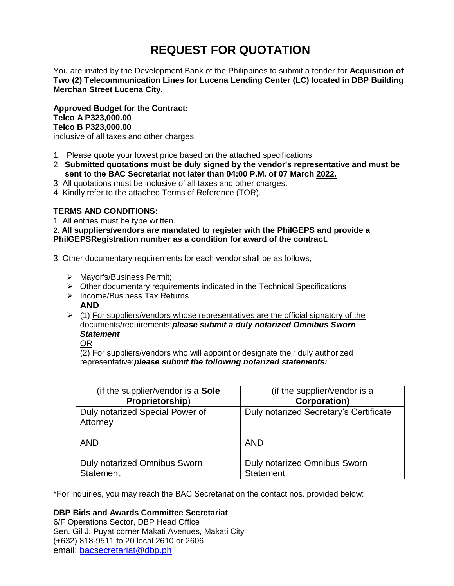# **REQUEST FOR QUOTATION**

You are invited by the Development Bank of the Philippines to submit a tender for **Acquisition of Two (2) Telecommunication Lines for Lucena Lending Center (LC) located in DBP Building Merchan Street Lucena City.**

**Approved Budget for the Contract: Telco A P323,000.00 Telco B P323,000.00** inclusive of all taxes and other charges.

- 1. Please quote your lowest price based on the attached specifications
- 2. **Submitted quotations must be duly signed by the vendor's representative and must be sent to the BAC Secretariat not later than 04:00 P.M. of 07 March 2022.**
- 3. All quotations must be inclusive of all taxes and other charges.
- 4. Kindly refer to the attached Terms of Reference (TOR).

# **TERMS AND CONDITIONS:**

1. All entries must be type written.

2**. All suppliers/vendors are mandated to register with the PhilGEPS and provide a PhilGEPSRegistration number as a condition for award of the contract.**

- 3. Other documentary requirements for each vendor shall be as follows;
	- > Mayor's/Business Permit;
	- $\triangleright$  Other documentary requirements indicated in the Technical Specifications
	- $\triangleright$  Income/Business Tax Returns **AND**
	- $\triangleright$  (1) For suppliers/vendors whose representatives are the official signatory of the documents/requirements:*please submit a duly notarized Omnibus Sworn Statement*

OR

(2) For suppliers/vendors who will appoint or designate their duly authorized representative:*please submit the following notarized statements:*

| (if the supplier/vendor is a Sole           | (if the supplier/vendor is a           |
|---------------------------------------------|----------------------------------------|
| Proprietorship)                             | <b>Corporation)</b>                    |
| Duly notarized Special Power of<br>Attorney | Duly notarized Secretary's Certificate |
| <b>AND</b>                                  | <b>AND</b>                             |
| <b>Duly notarized Omnibus Sworn</b>         | <b>Duly notarized Omnibus Sworn</b>    |
| <b>Statement</b>                            | <b>Statement</b>                       |

\*For inquiries, you may reach the BAC Secretariat on the contact nos. provided below:

# **DBP Bids and Awards Committee Secretariat**

6/F Operations Sector, DBP Head Office Sen. Gil J. Puyat corner Makati Avenues, Makati City (+632) 818-9511 to 20 local 2610 or 2606 email: [bacsecretariat@dbp.ph](mailto:bacsecretariat@dbp.ph)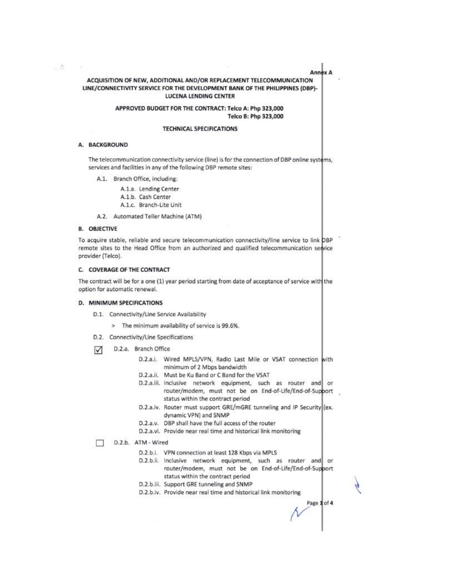Annex A

# ACQUISITION OF NEW, ADDITIONAL AND/OR REPLACEMENT TELECOMMUNICATION LINE/CONNECTIVITY SERVICE FOR THE DEVELOPMENT BANK OF THE PHILIPPINES (DBP)-**LUCENA LENDING CENTER**

## APPROVED BUDGET FOR THE CONTRACT: Telco A: Php 323,000 Telco B: Php 323,000

#### **TECHNICAL SPECIFICATIONS**

#### A. BACKGROUND

 $\label{eq:2.1} \begin{array}{ll} \mathcal{L}_{\text{c}} & \mathcal{L}_{\text{c}} \\ \mathcal{L}_{\text{c}} & \mathcal{L}_{\text{c}} \end{array}$ 

 $\rightarrow$ 

The telecommunication connectivity service (line) is for the connection of DBP online systems, services and facilities in any of the following DBP remote sites:

A.1. Branch Office, including:

A.1.a. Lending Center A.1.b. Cash Center A.1.c. Branch-Lite Unit

A.2. Automated Teller Machine (ATM)

#### **B. OBJECTIVE**

To acquire stable, reliable and secure telecommunication connectivity/line service to link DBP remote sites to the Head Office from an authorized and qualified telecommunication service provider (Telco).

#### C. COVERAGE OF THE CONTRACT

The contract will be for a one (1) year period starting from date of acceptance of service with the option for automatic renewal.

#### D. MINIMUM SPECIFICATIONS

- D.1. Connectivity/Line Service Availability
	- > The minimum availability of service is 99.6%.
- D.2. Connectivity/Line Specifications
- D.2.a. Branch Office  $\triangledown$ 
	- D.2.a.i. Wired MPLS/VPN, Radio Last Mile or VSAT connection with minimum of 2 Mbps bandwidth
	- D.2.a.ii. Must be Ku Band or C Band for the VSAT
	- D.2.a.iii. Inclusive network equipment, such as router and or router/modem, must not be on End-of-Life/End-of-Support status within the contract period
	- D.2.a.iv. Router must support GRE/mGRE tunneling and IP Security (ex. dynamic VPN) and SNMP
	- D.2.a.v. DBP shall have the full access of the router
	- D.2.a.vi. Provide near real time and historical link monitoring
- D.2.b. ATM Wired п
	- D.2.b.i. VPN connection at least 128 Kbps via MPLS
	- D.2.b.ii. Inclusive network equipment, such as router and or router/modem, must not be on End-of-Life/End-of-Support status within the contract period
	- D.2.b.iii. Support GRE tunneling and SNMP
	- D.2.b.iv. Provide near real time and historical link monitoring

Page 1 of 4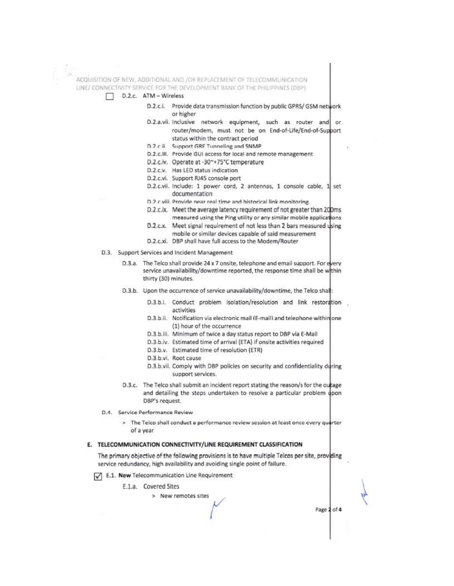ACQUISITION OF NEW, ADDITIONAL AND /OR REPLACEMENT OF TELECOMMUNICATION LINE/ CONNECTIVITY SERVICE FOR THE DEVELOPMENT BANK OF THE PHILIPPINES (DBP)



- D.2.c.i. Provide data transmission function by public GPRS/ GSM network or higher
- D.2.a.vii. Inclusive network equipment, such as router and or router/modem, must not be on End-of-Life/End-of-Support status within the contract period
- D.2 c ii. Support GRE Tunneling and SNMP
- D.2.c.III. Provide GUI access for local and remote management
- D.2.c.iv. Operate at -30~+75°C temperature
- D.2.c.v. Has LED status indication
- D.2.c.vi. Support RJ45 console port
- D.2.c.vii. Include: 1 power cord, 2 antennas, 1 console cable, 1 set documentation
- D.2 c viii. Provide near real time and historical link monitoring.
- D.2.c.ix. Meet the average latency requirement of not greater than 200ms measured using the Ping utility or any similar mobile applications
- D.2.c.x. Meet signal requirement of not less than 2 bars measured using mobile or similar devices capable of said measurement
- D.2.c.xi. DBP shall have full access to the Modem/Router
- D.3. Support Services and Incident Management
	- D.3.a. The Telco shall provide 24 x 7 onsite, telephone and email support. For every service unavailability/downtime reported, the response time shall be within thirty (30) minutes.
	- D.3.b. Upon the occurrence of service unavailability/downtime, the Telco shall:
		- D.3.b.i. Conduct problem isolation/resolution and link restoration activities
		- D.3.b.ii. Notification via electronic mail (E-mail) and telephone within one (1) hour of the occurrence
		- D.3.b.iii. Minimum of twice a day status report to DBP via E-Mail
		- D.3.b.iv. Estimated time of arrival (ETA) if onsite activities required
		- D.3.b.v. Estimated time of resolution (ETR)
		- D.3.b.vi. Root cause
		- D.3.b.vii. Comply with DBP policies on security and confidentiality during support services.
	- D.3.c. The Telco shall submit an incident report stating the reason/s for the outage and detailing the steps undertaken to resolve a particular problem upon DBP's request.
- D.4. Service Performance Review
	- > The Telco shall conduct a performance review session at least once every quarter of a year

### E. TELECOMMUNICATION CONNECTIVITY/LINE REQUIREMENT CLASSIFICATION

The primary objective of the following provisions is to have multiple Telcos per site, providing service redundancy, high availability and avoiding single point of failure.

E.1. New Telecommunication Line Requirement

E.1.a. Covered Sites

> New remotes sites

Page 2 of 4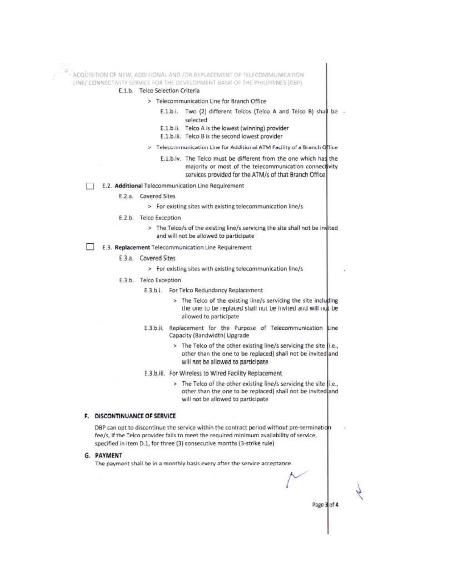ACQUISITION OF NEW, ADDITIONAL AND /OR REPLACEMENT OF TELECOMMUNICATION LINE/ CONNECTIVITY SERVICE FOR THE DEVELOPMENT BANK OF THE PHILIPPINES (DBP)

#### E.1.b. Telco Selection Criteria

- > Telecommunication Line for Branch Office
	- E.1.b.i. Two (2) different Telcos (Telco A and Telco B) shall be selected
	- E.1.b.ii. Telco A is the lowest (winning) provider
	- E.1.b.iii. Telco B is the second lowest provider
- > Telecommunication Line for Additional ATM Facility of a Branch Office
	- E.1.b.iv. The Telco must be different from the one which has the majority or most of the telecommunication connectivity services provided for the ATM/s of that Branch Office
- E.2. Additional Telecommunication Line Requirement п
	- E.2.a. Covered Sites
		- > For existing sites with existing telecommunication line/s
	- E.2.b. Telco Exception
		- > The Telco/s of the existing line/s servicing the site shall not be invited and will not be allowed to participate
- E.3. Replacement Telecommunication Line Requirement
	- E.3.a. Covered Sites
		- > For existing sites with existing telecommunication line/s
	- E.3.b. Telco Exception
		- E.3.b.i. For Telco Redundancy Replacement
			- > The Telco of the existing line/s servicing the site including the one to be replaced shall not be invited and will not be allowed to participate
		- E.3.b.ii. Replacement for the Purpose of Telecommunication Line Capacity (Bandwidth) Upgrade
			- > The Telco of the other existing line/s servicing the site |i.e., other than the one to be replaced) shall not be invited and will not be allowed to participate
		- E.3.b.iii. For Wireless to Wired Facility Replacement
			- > The Telco of the other existing line/s servicing the site li.e., other than the one to be replaced) shall not be invited and will not be allowed to participate

Page 3 of 4

#### F. DISCONTINUANCE OF SERVICE

DBP can opt to discontinue the service within the contract period without pre-termination fee/s, if the Telco provider fails to meet the required minimum availability of service, specified in item D.1, for three (3) consecutive months (3-strike rule)

# **G. PAYMENT**

The payment shall be in a monthly basis every after the service acceptance